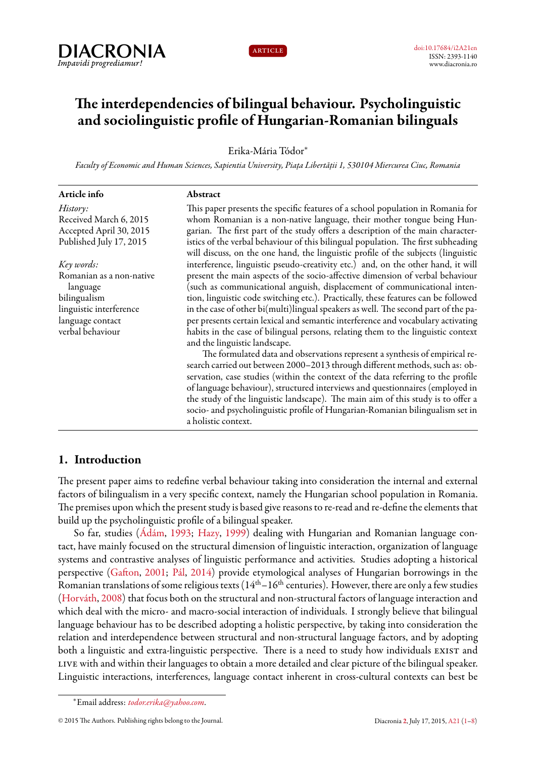



# **The interdependencies of bilingual behaviour. Psycholinguistic and sociolinguistic profile of Hungarian-Romanian bilinguals**

Erika-Mária Tódor*<sup>∗</sup>*

*Faculty of Economic and Human Sciences, Sapientia University, Piața Libertății 1, 530104 Miercurea Ciuc, Romania*

| Article info                         | Abstract                                                                                                                                                                                                                                           |
|--------------------------------------|----------------------------------------------------------------------------------------------------------------------------------------------------------------------------------------------------------------------------------------------------|
| History:                             | This paper presents the specific features of a school population in Romania for                                                                                                                                                                    |
| Received March 6, 2015               | whom Romanian is a non-native language, their mother tongue being Hun-                                                                                                                                                                             |
| Accepted April 30, 2015              | garian. The first part of the study offers a description of the main character-                                                                                                                                                                    |
| Published July 17, 2015              | istics of the verbal behaviour of this bilingual population. The first subheading<br>will discuss, on the one hand, the linguistic profile of the subjects (linguistic                                                                             |
| Key words:                           | interference, linguistic pseudo-creativity etc.) and, on the other hand, it will                                                                                                                                                                   |
| Romanian as a non-native<br>language | present the main aspects of the socio-affective dimension of verbal behaviour<br>(such as communicational anguish, displacement of communicational inten-                                                                                          |
| bilingualism                         | tion, linguistic code switching etc.). Practically, these features can be followed                                                                                                                                                                 |
| linguistic interference              | in the case of other bi(multi)lingual speakers as well. The second part of the pa-                                                                                                                                                                 |
| language contact                     | per presents certain lexical and semantic interference and vocabulary activating                                                                                                                                                                   |
| verbal behaviour                     | habits in the case of bilingual persons, relating them to the linguistic context<br>and the linguistic landscape.                                                                                                                                  |
|                                      | The formulated data and observations represent a synthesis of empirical re-                                                                                                                                                                        |
|                                      | search carried out between 2000-2013 through different methods, such as: ob-                                                                                                                                                                       |
|                                      | servation, case studies (within the context of the data referring to the profile                                                                                                                                                                   |
|                                      | of language behaviour), structured interviews and questionnaires (employed in<br>the study of the linguistic landscape). The main aim of this study is to offer a<br>socio- and psycholinguistic profile of Hungarian-Romanian bilingualism set in |
|                                      | a holistic context.                                                                                                                                                                                                                                |

# <span id="page-0-0"></span>**1. Introduction**

The present paper aims to redefine verbal behaviour taking into consideration the internal and external factors of bilingualism in a very specific context, namely the Hungarian school population in Romania. The premises upon which the present study is based give reasons to re-read and re-define the elements that build up the psycholinguistic profile of a bilingual speaker.

So far, studies [\(Ádám,](#page-7-1) [1993](#page-7-1); [Hazy,](#page-7-2) [1999](#page-7-2)) dealing with Hungarian and Romanian language contact, have mainly focused on the structural dimension of linguistic interaction, organization of language systems and contrastive analyses of linguistic performance and activities. Studies adopting a historical perspective([Gafton,](#page-7-3) [2001](#page-7-3); [Pál,](#page-7-4) [2014\)](#page-7-4) provide etymological analyses of Hungarian borrowings in the Romanian translations of some religious texts ( $14<sup>th</sup> - 16<sup>th</sup>$  centuries). However, there are only a few studies ([Horváth,](#page-7-5) [2008\)](#page-7-5) that focus both on the structural and non-structural factors of language interaction and which deal with the micro- and macro-social interaction of individuals. I strongly believe that bilingual language behaviour has to be described adopting a holistic perspective, by taking into consideration the relation and interdependence between structural and non-structural language factors, and by adopting both a linguistic and extra-linguistic perspective. There is a need to study how individuals EXIST and live with and within their languages to obtain a more detailed and clear picture of the bilingual speaker. Linguistic interactions, interferences, language contact inherent in cross-cultural contexts can best be

*<sup>∗</sup>*Email address: *[todor.erika@yahoo.com](mailto:todor.erika@yahoo.com)*.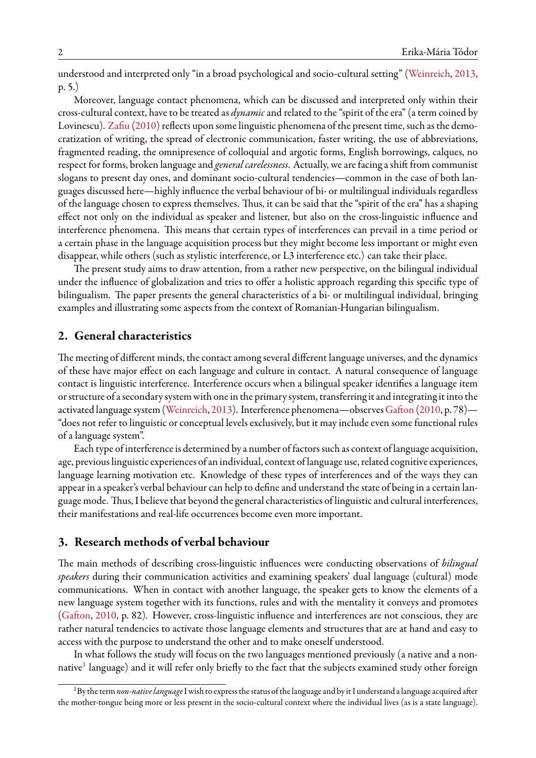understood and interpreted only "in a broad psychological and socio-cultural setting"([Weinreich](#page-7-6), [2013](#page-7-6), p. 5.)

Moreover, language contact phenomena, which can be discussed and interpreted only within their cross-cultural context, have to be treated as *dynamic*and related to the "spirit of the era" (a term coined by Lovinescu). [Zafiu](#page-7-7) [\(2010\)](#page-7-7) reflects upon some linguistic phenomena of the present time, such as the democratization of writing, the spread of electronic communication, faster writing, the use of abbreviations, fragmented reading, the omnipresence of colloquial and argotic forms, English borrowings, calques, no respect for forms, broken language and *general carelessness*. Actually, we are facing a shift from communist slogans to present day ones, and dominant socio-cultural tendencies—common in the case of both languages discussed here—highly influence the verbal behaviour of bi- or multilingual individuals regardless of the language chosen to express themselves. Thus, it can be said that the "spirit of the era" has a shaping effect not only on the individual as speaker and listener, but also on the cross-linguistic influence and interference phenomena. This means that certain types of interferences can prevail in a time period or a certain phase in the language acquisition process but they might become less important or might even disappear, while others (such as stylistic interference, or L3 interference etc.) can take their place.

The present study aims to draw attention, from a rather new perspective, on the bilingual individual under the influence of globalization and tries to offer a holistic approach regarding this specific type of bilingualism. The paper presents the general characteristics of a bi- or multilingual individual, bringing examples and illustrating some aspects from the context of Romanian-Hungarian bilingualism.

#### **2. General characteristics**

The meeting of different minds, the contact among several different language universes, and the dynamics of these have major effect on each language and culture in contact. A natural consequence of language contact is linguistic interference. Interference occurs when a bilingual speaker identifies a language item or structure of a secondary system with one in the primary system, transferring it and integrating it into the activated language system [\(Weinreich,](#page-7-6) [2013\)](#page-7-6). Interference phenomena—observes [Gafton](#page-7-8) [\(2010](#page-7-8), p. 78)— "does not refer to linguistic or conceptual levels exclusively, but it may include even some functional rules of a language system".

Each type of interference is determined by a number of factors such as context of language acquisition, age, previous linguistic experiences of an individual, context of language use, related cognitive experiences, language learning motivation etc. Knowledge of these types of interferences and of the ways they can appear in a speaker's verbal behaviour can help to define and understand the state of being in a certain language mode. Thus, I believe that beyond the general characteristics of linguistic and cultural interferences, their manifestations and real-life occurrences become even more important.

## **3. Research methods of verbal behaviour**

The main methods of describing cross-linguistic influences were conducting observations of *bilingual speakers* during their communication activities and examining speakers' dual language (cultural) mode communications. When in contact with another language, the speaker gets to know the elements of a new language system together with its functions, rules and with the mentality it conveys and promotes ([Gafton,](#page-7-8) [2010](#page-7-8), p. 82). However, cross-linguistic influence and interferences are not conscious, they are rather natural tendencies to activate those language elements and structures that are at hand and easy to access with the purpose to understand the other and to make oneself understood.

In what follows the study will focus on the two languages mentioned previously (a native and a non-native<sup>[1](#page-1-0)</sup> language) and it will refer only briefly to the fact that the subjects examined study other foreign

<span id="page-1-0"></span><sup>1</sup>By the term*non-native language*I wish to express the status of the language and by it I understand a language acquired after the mother-tongue being more or less present in the socio-cultural context where the individual lives (as is a state language).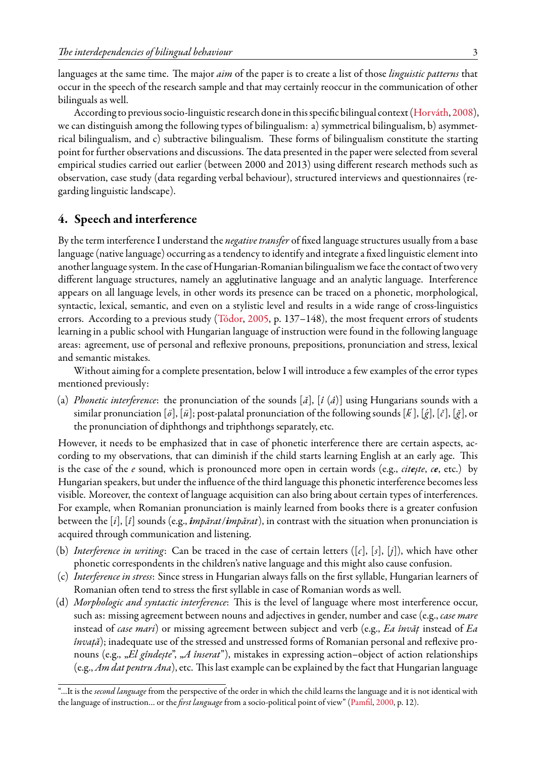languages at the same time. The major *aim* of the paper is to create a list of those *linguistic patterns* that occur in the speech of the research sample and that may certainly reoccur in the communication of other bilinguals as well.

According to previous socio-linguistic research done in this specific bilingual context [\(Horváth](#page-7-5), [2008\)](#page-7-5), we can distinguish among the following types of bilingualism: a) symmetrical bilingualism, b) asymmetrical bilingualism, and c) subtractive bilingualism. These forms of bilingualism constitute the starting point for further observations and discussions. The data presented in the paper were selected from several empirical studies carried out earlier (between 2000 and 2013) using different research methods such as observation, case study (data regarding verbal behaviour), structured interviews and questionnaires (regarding linguistic landscape).

### **4. Speech and interference**

By the term interference I understand the *negative transfer* of fixed language structures usually from a base language (native language) occurring as a tendency to identify and integrate a fixed linguistic element into another language system. In the case of Hungarian-Romanian bilingualism weface the contact of two very different language structures, namely an agglutinative language and an analytic language. Interference appears on all language levels, in other words its presence can be traced on a phonetic, morphological, syntactic, lexical, semantic, and even on a stylistic level and results in a wide range of cross-linguistics errors.According to a previous study ([Tódor,](#page-7-9) [2005,](#page-7-9) p. 137–148), the most frequent errors of students learning in a public school with Hungarian language of instruction were found in the following language areas: agreement, use of personal and reflexive pronouns, prepositions, pronunciation and stress, lexical and semantic mistakes.

Without aiming for a complete presentation, below I will introduce a few examples of the error types mentioned previously:

(a) *Phonetic interference*: the pronunciation of the sounds [*ă*], [*î* (*â*)] using Hungarians sounds with a similar pronunciation [*ö*], [*ü*]; post-palatal pronunciation of the following sounds [*k*´], [´*g*], [*č*], [*ğ*], or the pronunciation of diphthongs and triphthongs separately, etc.

However, it needs to be emphasized that in case of phonetic interference there are certain aspects, according to my observations, that can diminish if the child starts learning English at an early age. This is the case of the *e* sound, which is pronounced more open in certain words (e.g., *citeşte*, *ce*, etc.) by Hungarian speakers, but under the influence of the third language this phonetic interference becomes less visible. Moreover, the context of language acquisition can also bring about certain types of interferences. For example, when Romanian pronunciation is mainly learned from books there is a greater confusion between the [*i*], [*î*] sounds (e.g., *împărat*/*impărat*), in contrast with the situation when pronunciation is acquired through communication and listening.

- (b) *Interference in writing*: Can be traced in the case of certain letters ([*c*], [*s*], [*j*]), which have other phonetic correspondents in the children's native language and this might also cause confusion.
- (c) *Interference in stress*: Since stress in Hungarian always falls on the first syllable, Hungarian learners of Romanian often tend to stress the first syllable in case of Romanian words as well.
- (d) *Morphologic and syntactic interference*: This is the level of language where most interference occur, such as: missing agreement between nouns and adjectives in gender, number and case (e.g., *case mare* instead of *case mari*) or missing agreement between subject and verb (e.g., *Ea învăț* instead of *Ea învață*); inadequate use of the stressed and unstressed forms of Romanian personal and reflexive pronouns (e.g., *"El gîndește"*, *"A înserat"*), mistakes in expressing action–object of action relationships (e.g., *Am dat pentru Ana*), etc. This last example can be explained by the fact that Hungarian language

<sup>&</sup>quot;…It is the *second language* from the perspective of the order in which the child learns the language and it is not identical with the language of instruction… or the *first language* from a socio-political point of view"([Pamfil,](#page-7-10) [2000](#page-7-10), p. 12).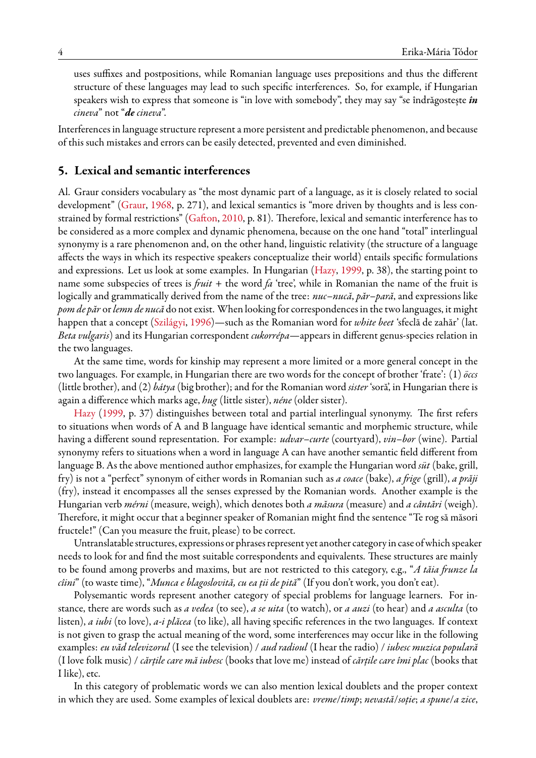uses suffixes and postpositions, while Romanian language uses prepositions and thus the different structure of these languages may lead to such specific interferences. So, for example, if Hungarian speakers wish to express that someone is "in love with somebody", they may say "se îndrăgostește *în cineva*" not "*de cineva*".

Interferences in language structure represent a more persistent and predictable phenomenon, and because of this such mistakes and errors can be easily detected, prevented and even diminished.

#### **5. Lexical and semantic interferences**

Al. Graur considers vocabulary as "the most dynamic part of a language, as it is closely related to social development"([Graur,](#page-7-11) [1968,](#page-7-11) p. 271), and lexical semantics is "more driven by thoughts and is less constrained by formal restrictions"([Gafton,](#page-7-8) [2010,](#page-7-8) p. 81). Therefore, lexical and semantic interference has to be considered as a more complex and dynamic phenomena, because on the one hand "total" interlingual synonymy is a rare phenomenon and, on the other hand, linguistic relativity (the structure of a language affects the ways in which its respective speakers conceptualize their world) entails specific formulations and expressions. Let us look at some examples. In Hungarian [\(Hazy](#page-7-2), [1999,](#page-7-2) p. 38), the starting point to name some subspecies of trees is *fruit* + the word *fa* 'tree', while in Romanian the name of the fruit is logically and grammatically derived from the name of the tree: *nuc*–*nucă*, *păr*–*pară*, and expressions like *pom de păr* or*lemn de nucă* do not exist. When looking for correspondences in the two languages, it might happen that a concept [\(Szilágyi](#page-7-12), [1996](#page-7-12))—such as the Romanian word for *white beet* 'sfeclă de zahăr' (lat. *Beta vulgaris*) and its Hungarian correspondent *cukorrépa*—appears in different genus-species relation in the two languages.

At the same time, words for kinship may represent a more limited or a more general concept in the two languages. For example, in Hungarian there are two words for the concept of brother 'frate': (1) *öccs* (little brother), and (2) *bátya* (big brother); and for the Romanian word *sister* 'soră', in Hungarian there is again a difference which marks age, *hug* (little sister), *néne* (older sister).

[Hazy](#page-7-2) ([1999,](#page-7-2) p. 37) distinguishes between total and partial interlingual synonymy. The first refers to situations when words of A and B language have identical semantic and morphemic structure, while having a different sound representation. For example: *udvar*–*curte* (courtyard), *vin*–*bor* (wine). Partial synonymy refers to situations when a word in language A can have another semantic field different from language B. As the above mentioned author emphasizes, for example the Hungarian word *süt* (bake, grill, fry) is not a "perfect" synonym of either words in Romanian such as *a coace* (bake), *a frige* (grill), *a prăji* (fry), instead it encompasses all the senses expressed by the Romanian words. Another example is the Hungarian verb *mérni* (measure, weigh), which denotes both *a măsura* (measure) and *a cântări* (weigh). Therefore, it might occur that a beginner speaker of Romanian might find the sentence "Te rog să măsori fructele!" (Can you measure the fruit, please) to be correct.

Untranslatable structures, expressions or phrases represent yet another category in case of which speaker needs to look for and find the most suitable correspondents and equivalents. These structures are mainly to be found among proverbs and maxims, but are not restricted to this category, e.g., "*A tăia frunze la cîini*" (to waste time), "*Munca e blagoslovită, cu ea ţii de pită*" (If you don't work, you don't eat).

Polysemantic words represent another category of special problems for language learners. For instance, there are words such as *a vedea* (to see), *a se uita* (to watch), or *a auzi* (to hear) and *a asculta* (to listen), *a iubi* (to love), *a-i plăcea* (to like), all having specific references in the two languages. If context is not given to grasp the actual meaning of the word, some interferences may occur like in the following examples: *eu văd televizorul* (I see the television) / *aud radioul* (I hear the radio) / *iubesc muzica populară* (I love folk music) / *cărţile care mă iubesc* (books that love me) instead of *cărţile care îmi plac* (books that I like), etc.

In this category of problematic words we can also mention lexical doublets and the proper context in which they are used. Some examples of lexical doublets are: *vreme*/*timp*; *nevastă*/*soție*; *a spune*/*a zice*,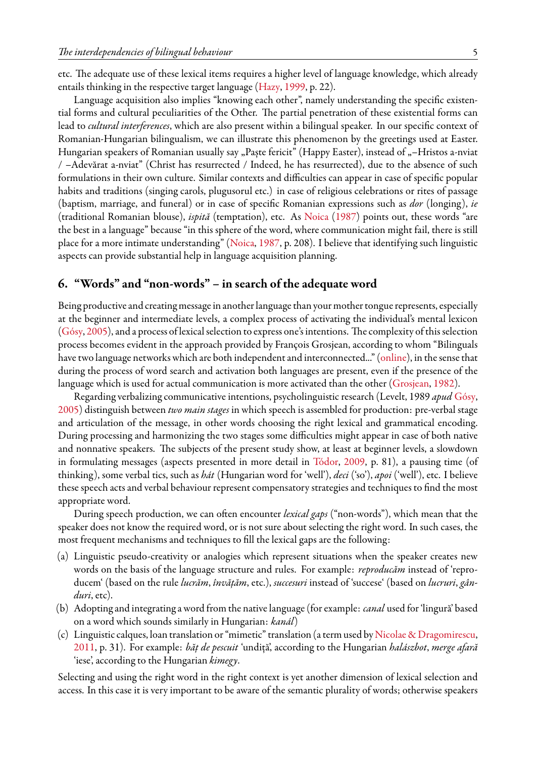etc. The adequate use of these lexical items requires a higher level of language knowledge, which already entails thinking in the respective target language [\(Hazy](#page-7-2), [1999](#page-7-2), p. 22).

Language acquisition also implies "knowing each other", namely understanding the specific existential forms and cultural peculiarities of the Other. The partial penetration of these existential forms can lead to *cultural interferences*, which are also present within a bilingual speaker. In our specific context of Romanian-Hungarian bilingualism, we can illustrate this phenomenon by the greetings used at Easter. Hungarian speakers of Romanian usually say "Paște fericit" (Happy Easter), instead of "–Hristos a-nviat / –Adevărat a-nviat" (Christ has resurrected / Indeed, he has resurrected), due to the absence of such formulations in their own culture. Similar contexts and difficulties can appear in case of specific popular habits and traditions (singing carols, plugusorul etc.) in case of religious celebrations or rites of passage (baptism, marriage, and funeral) or in case of specific Romanian expressions such as *dor* (longing), *ie* (traditional Romanian blouse), *ispită* (temptation), etc. As [Noica](#page-7-13) ([1987\)](#page-7-13) points out, these words "are the best in a language" because "in this sphere of the word, where communication might fail, there is still place for a more intimate understanding"([Noica,](#page-7-13) [1987,](#page-7-13) p. 208). I believe that identifying such linguistic aspects can provide substantial help in language acquisition planning.

#### **6. "Words" and "non-words" – in search of the adequate word**

Being productive and creating message in another language than your mother tongue represents, especially at the beginner and intermediate levels, a complex process of activating the individual's mental lexicon ([Gósy](#page-7-14), [2005\)](#page-7-14), and a process of lexical selection to express one's intentions. The complexity of this selection process becomes evident in the approach provided by François Grosjean, according to whom "Bilinguals havetwo language networks which are both independent and interconnected..." ([online\)](http://www.francoisgrosjean.ch/interview_en.html), in the sense that during the process of word search and activation both languages are present, even if the presence of the language which is used for actual communication is more activated than the other([Grosjean,](#page-7-15) [1982\)](#page-7-15).

Regarding verbalizing communicative intentions, psycholinguistic research (Levelt, 1989 *apud* [Gósy](#page-7-14), [2005\)](#page-7-14) distinguish between *two main stages* in which speech is assembled for production: pre-verbal stage and articulation of the message, in other words choosing the right lexical and grammatical encoding. During processing and harmonizing the two stages some difficulties might appear in case of both native and nonnative speakers. The subjects of the present study show, at least at beginner levels, a slowdown in formulating messages (aspects presented in more detail in [Tódor,](#page-7-16) [2009](#page-7-16), p. 81), a pausing time (of thinking), some verbal tics, such as *hát* (Hungarian word for 'well'), *deci* ('so'), *apoi* ('well'), etc. I believe these speech acts and verbal behaviour represent compensatory strategies and techniques to find the most appropriate word.

During speech production, we can often encounter *lexical gaps* ("non-words"), which mean that the speaker does not know the required word, or is not sure about selecting the right word. In such cases, the most frequent mechanisms and techniques to fill the lexical gaps are the following:

- (a) Linguistic pseudo-creativity or analogies which represent situations when the speaker creates new words on the basis of the language structure and rules. For example: *reproducăm* instead of 'reproducem' (based on the rule *lucrăm*, *învățăm*, etc.), *succesuri* instead of 'succese' (based on *lucruri*, *gânduri*, etc).
- (b) Adopting and integrating a word from the native language (for example: *canal* used for 'lingură' based on a word which sounds similarly in Hungarian: *kanál*)
- (c) Linguistic calques, loan translation or "mimetic" translation (a term used by [Nicolae & Dragomirescu](#page-7-17), [2011](#page-7-17), p. 31). For example: *băț de pescuit* 'undiță', according to the Hungarian *halászbot*, *merge afară* 'iese', according to the Hungarian *kimegy*.

Selecting and using the right word in the right context is yet another dimension of lexical selection and access. In this case it is very important to be aware of the semantic plurality of words; otherwise speakers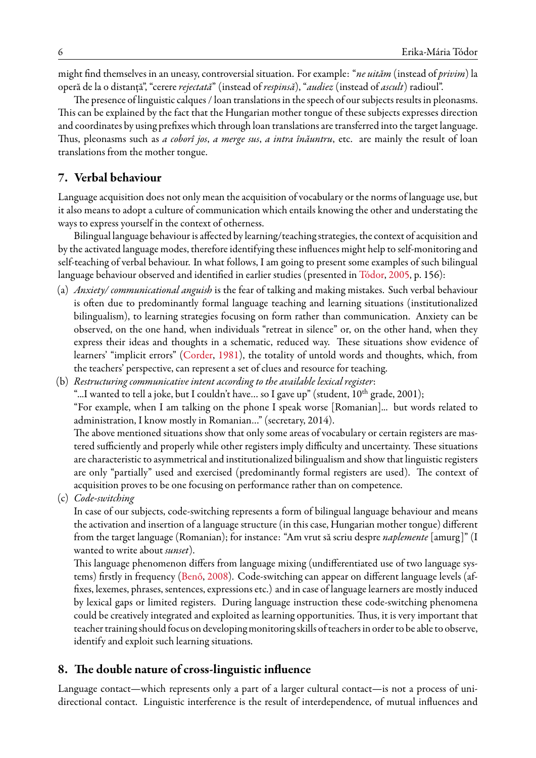might find themselves in an uneasy, controversial situation. For example: "*ne uităm* (instead of *privim*) la operă de la o distanță", "cerere *rejectată*" (instead of *respinsă*), "*audiez* (instead of *ascult*) radioul".

The presence of linguistic calques / loan translations in the speech of our subjects results in pleonasms. This can be explained by the fact that the Hungarian mother tongue of these subjects expresses direction and coordinates by using prefixes which through loan translations are transferred into the target language. Thus, pleonasms such as *a coborî jos*, *a merge sus*, *a intra înăuntru*, etc. are mainly the result of loan translations from the mother tongue.

## **7. Verbal behaviour**

Language acquisition does not only mean the acquisition of vocabulary or the norms of language use, but it also means to adopt a culture of communication which entails knowing the other and understating the ways to express yourself in the context of otherness.

Bilingual language behaviour is affected by learning/teaching strategies, the context of acquisition and by the activated language modes, therefore identifying these influences might help to self-monitoring and self-teaching of verbal behaviour. In what follows, I am going to present some examples of such bilingual language behaviour observed and identified in earlier studies (presented in [Tódor,](#page-7-9) [2005](#page-7-9), p. 156):

- (a) *Anxiety/ communicational anguish* is the fear of talking and making mistakes. Such verbal behaviour is often due to predominantly formal language teaching and learning situations (institutionalized bilingualism), to learning strategies focusing on form rather than communication. Anxiety can be observed, on the one hand, when individuals "retreat in silence" or, on the other hand, when they express their ideas and thoughts in a schematic, reduced way. These situations show evidence of learners' "implicit errors"([Corder](#page-7-18), [1981\)](#page-7-18), the totality of untold words and thoughts, which, from the teachers' perspective, can represent a set of clues and resource for teaching.
- (b) *Restructuring communicative intent according to the available lexical register*:

"...I wanted to tell a joke, but I couldn't have... so I gave up" (student,  $10^{th}$  grade,  $2001$ );

"For example, when I am talking on the phone I speak worse [Romanian]... but words related to administration, I know mostly in Romanian…" (secretary, 2014).

The above mentioned situations show that only some areas of vocabulary or certain registers are mastered sufficiently and properly while other registers imply difficulty and uncertainty. These situations are characteristic to asymmetrical and institutionalized bilingualism and show that linguistic registers are only "partially" used and exercised (predominantly formal registers are used). The context of acquisition proves to be one focusing on performance rather than on competence.

(c) *Code-switching*

In case of our subjects, code-switching represents a form of bilingual language behaviour and means the activation and insertion of a language structure (in this case, Hungarian mother tongue) different from the target language (Romanian); for instance: "Am vrut să scriu despre *naplemente* [amurg]" (I wanted to write about *sunset*).

This language phenomenon differs from language mixing (undifferentiated use of two language systems) firstly in frequency([Benő](#page-7-19), [2008\)](#page-7-19). Code-switching can appear on different language levels (affixes, lexemes, phrases, sentences, expressions etc.) and in case of language learners are mostly induced by lexical gaps or limited registers. During language instruction these code-switching phenomena could be creatively integrated and exploited as learning opportunities. Thus, it is very important that teacher training should focus on developing monitoring skills of teachers in order to be able to observe, identify and exploit such learning situations.

#### **8. The double nature of cross-linguistic influence**

Language contact—which represents only a part of a larger cultural contact—is not a process of unidirectional contact. Linguistic interference is the result of interdependence, of mutual influences and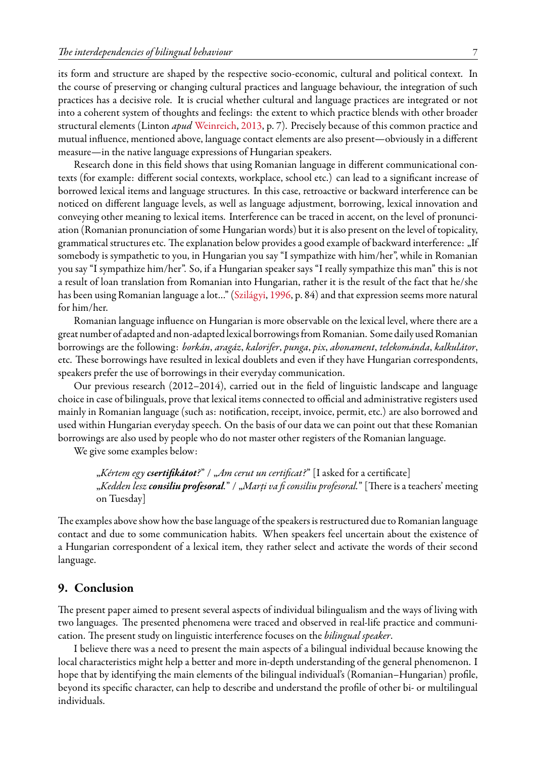its form and structure are shaped by the respective socio-economic, cultural and political context. In the course of preserving or changing cultural practices and language behaviour, the integration of such practices has a decisive role. It is crucial whether cultural and language practices are integrated or not into a coherent system of thoughts and feelings: the extent to which practice blends with other broader structural elements (Linton *apud* [Weinreich,](#page-7-6) [2013](#page-7-6), p. 7). Precisely because of this common practice and mutual influence, mentioned above, language contact elements are also present—obviously in a different measure—in the native language expressions of Hungarian speakers.

Research done in this field shows that using Romanian language in different communicational contexts (for example: different social contexts, workplace, school etc.) can lead to a significant increase of borrowed lexical items and language structures. In this case, retroactive or backward interference can be noticed on different language levels, as well as language adjustment, borrowing, lexical innovation and conveying other meaning to lexical items. Interference can be traced in accent, on the level of pronunciation (Romanian pronunciation of some Hungarian words) but it is also present on the level of topicality, grammatical structures etc. The explanation below provides a good example of backward interference: "If somebody is sympathetic to you, in Hungarian you say "I sympathize with him/her", while in Romanian you say "I sympathize him/her". So, if a Hungarian speaker says "I really sympathize this man" this is not a result of loan translation from Romanian into Hungarian, rather it is the result of the fact that he/she has been using Romanian language a lot…" [\(Szilágyi](#page-7-12), [1996](#page-7-12), p. 84) and that expression seems more natural for him/her.

Romanian language influence on Hungarian is more observable on the lexical level, where there are a great number of adapted and non-adapted lexical borrowingsfrom Romanian. Some daily used Romanian borrowings are the following: *borkán*, *aragáz*, *kalorifer*, *punga*, *pix*, *abonament*, *telekománda*, *kalkulátor*, etc. These borrowings have resulted in lexical doublets and even if they have Hungarian correspondents, speakers prefer the use of borrowings in their everyday communication.

Our previous research (2012–2014), carried out in the field of linguistic landscape and language choice in case of bilinguals, prove that lexical items connected to official and administrative registers used mainly in Romanian language (such as: notification, receipt, invoice, permit, etc.) are also borrowed and used within Hungarian everyday speech. On the basis of our data we can point out that these Romanian borrowings are also used by people who do not master other registers of the Romanian language.

We give some examples below:

"*Kértem egy csertifikátot?*" / "*Am cerut un certificat?*" [I asked for a certificate] "*Kedden lesz consiliu profesoral.*" / "*Marți va fi consiliu profesoral.*" [There is a teachers' meeting on Tuesday]

The examples above show how the base language of the speakers is restructured due to Romanian language contact and due to some communication habits. When speakers feel uncertain about the existence of a Hungarian correspondent of a lexical item, they rather select and activate the words of their second language.

#### **9. Conclusion**

The present paper aimed to present several aspects of individual bilingualism and the ways of living with two languages. The presented phenomena were traced and observed in real-life practice and communication. The present study on linguistic interference focuses on the *bilingual speaker*.

I believe there was a need to present the main aspects of a bilingual individual because knowing the local characteristics might help a better and more in-depth understanding of the general phenomenon. I hope that by identifying the main elements of the bilingual individual's (Romanian–Hungarian) profile, beyond its specific character, can help to describe and understand the profile of other bi- or multilingual individuals.